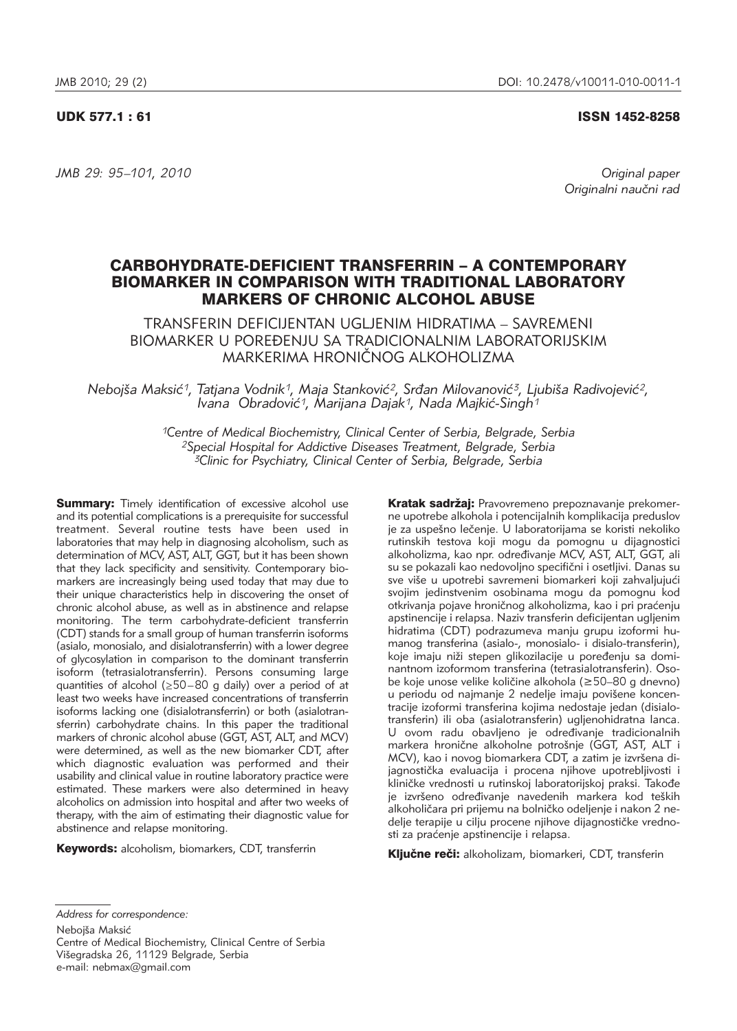#### UDK 577.1 : 61 ISSN 1452-8258

*JMB 29: 95–101, 2010 Original paper*

Originalni naučni rad

# CARBOHYDRATE-DEFICIENT TRANSFERRIN – A CONTEMPORARY BIOMARKER IN COMPARISON WITH TRADITIONAL LABORATORY MARKERS OF CHRONIC ALCOHOL ABUSE

TRANSFERIN DEFICIJENTAN UGLJENIM HIDRATIMA – SAVREMENI BIOMARKER U PORE\ENJU SA TRADICIONALNIM LABORATORIJSKIM MARKERIMA HRONI^NOG ALKOHOLIZMA

*Nebojša Maksić<sup>1</sup>, Tatjana Vodnik<sup>1</sup>, Maja Stanković<sup>2</sup>, Srđan Milovanović<sup>3</sup>, Ljubiša Radivojević<sup>2</sup>, <i>Ivana Obradović<sup>1</sup>, Marijana Dajak<sup>1</sup>, Nada Majkić-Singh<sup>1</sup>* 

*1Centre of Medical Biochemistry, Clinical Center of Serbia, Belgrade, Serbia 2Special Hospital for Addictive Diseases Treatment, Belgrade, Serbia 3Clinic for Psychiatry, Clinical Center of Serbia, Belgrade, Serbia*

**Summary:** Timely identification of excessive alcohol use and its potential complications is a prerequisite for successful treatment. Several routine tests have been used in laboratories that may help in diagnosing alcoholism, such as determination of MCV, AST, ALT, GGT, but it has been shown that they lack specificity and sensitivity. Contemporary biomarkers are increasingly being used today that may due to their unique characteristics help in discovering the onset of chronic alcohol abuse, as well as in abstinence and relapse monitoring. The term carbohydrate-deficient transferrin (CDT) stands for a small group of human transferrin isoforms (asialo, monosialo, and disialotransferrin) with a lower degree of glycosylation in comparison to the dominant transferrin isoform (tetrasialotransferrin). Persons consuming large quantities of alcohol (≥50–80 g daily) over a period of at least two weeks have increased concentrations of transferrin isoforms lacking one (disialotransferrin) or both (asialotransferrin) carbohydrate chains. In this paper the traditional markers of chronic alcohol abuse (GGT, AST, ALT, and MCV) were determined, as well as the new biomarker CDT, after which diagnostic evaluation was performed and their usability and clinical value in routine laboratory practice were estimated. These markers were also determined in heavy alcoholics on admission into hospital and after two weeks of therapy, with the aim of estimating their diagnostic value for abstinence and relapse monitoring.

Keywords: alcoholism, biomarkers, CDT, transferrin

Kratak sadržaj: Pravovremeno prepoznavanje prekomerne upotrebe alkohola i potencijalnih komplikacija preduslov je za uspešno lečenje. U laboratorijama se koristi nekoliko rutinskih testova koji mogu da pomognu u dijagnostici alkoholizma, kao npr. određivanje MCV, AST, ALT, GGT, ali su se pokazali kao nedovoljno specifični i osetljivi. Danas su sve više u upotrebi savremeni biomarkeri koji zahvaljujući svojim jedinstvenim osobinama mogu da pomognu kod otkrivanja pojave hroničnog alkoholizma, kao i pri praćenju apstinencije i relapsa. Naziv transferin deficijentan ugljenim hidratima (CDT) podrazumeva manju grupu izoformi humanog transferina (asialo-, monosialo- i disialo-transferin), koje imaju niži stepen glikozilacije u poređenju sa dominantnom izoformom transferina (tetrasialotransferin). Osobe koje unose velike koli~ine alkohola (≥50–80 g dnevno) u periodu od najmanje 2 nedelje imaju povišene koncentracije izoformi transferina kojima nedostaje jedan (disialotransferin) ili oba (asialotransferin) ugljeno hidratna lanca. U ovom radu obavljeno je određivanje tradicionalnih markera hronične alkoholne potrošnje (GGT, AST, ALT i MCV), kao i novog biomarkera CDT, a zatim je izvršena dijagnostička evaluacija i procena njihove upotrebljivosti i kliničke vrednosti u rutinskoj laboratorijskoj praksi. Takođe je izvršeno određivanje navedenih markera kod teških alkoholičara pri prijemu na bolničko odeljenje i nakon 2 nedelje terapije u cilju procene njihove dijagnostičke vrednosti za praćenje apstinencije i relapsa.

Ključne reči: alkoholizam, biomarkeri, CDT, transferin

*Address for correspondence:*

Nebojša Maksić

Centre of Medical Biochemistry, Clinical Centre of Serbia Višegradska 26, 11129 Belgrade, Serbia e-mail: nebmax@gmail.com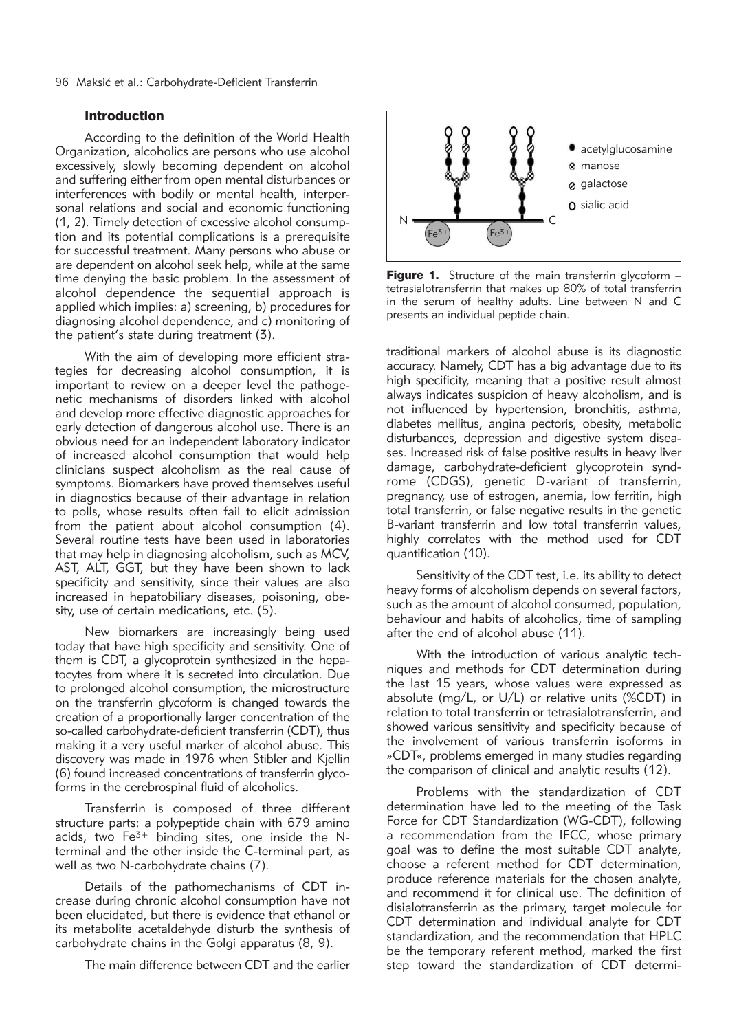#### Introduction

According to the definition of the World Health Organization, alcoholics are persons who use alcohol excessively, slowly becoming dependent on alcohol and suffering either from open mental disturbances or interferences with bodily or mental health, interpersonal relations and social and economic functioning (1, 2). Timely detection of excessive alcohol consumption and its potential complications is a prerequisite for successful treatment. Many persons who abuse or are dependent on alcohol seek help, while at the same time denying the basic problem. In the assessment of alcohol dependence the sequential approach is applied which implies: a) screening, b) procedures for diagnosing alcohol dependence, and c) monitoring of the patient's state during treatment (3).

With the aim of developing more efficient strategies for decreasing alcohol consumption, it is important to review on a deeper level the pathogenetic mechanisms of disorders linked with alcohol and develop more effective diagnostic approaches for early detection of dangerous alcohol use. There is an obvious need for an independent laboratory indicator of increased alcohol consumption that would help clinicians suspect alcoholism as the real cause of symptoms. Biomarkers have proved themselves useful in diagnostics because of their advantage in relation to polls, whose results often fail to elicit admission from the patient about alcohol consumption (4). Several routine tests have been used in laboratories that may help in diagnosing alcoholism, such as MCV, AST, ALT, GGT, but they have been shown to lack specificity and sensitivity, since their values are also increased in hepatobiliary diseases, poisoning, obesity, use of certain medications, etc. (5).

New biomarkers are increasingly being used today that have high specificity and sensitivity. One of them is CDT, a glycoprotein synthesized in the hepatocytes from where it is secreted into circulation. Due to prolonged alcohol consumption, the microstructure on the transferrin glycoform is changed towards the creation of a proportionally larger concentration of the so-called carbohydrate-deficient transferrin (CDT), thus making it a very useful marker of alcohol abuse. This discovery was made in 1976 when Stibler and Kjellin (6) found increased concentrations of transferrin glycoforms in the cerebrospinal fluid of alcoholics.

Transferrin is composed of three different structure parts: a polypeptide chain with 679 amino acids, two  $Fe<sup>3+</sup>$  binding sites, one inside the Nterminal and the other inside the C-terminal part, as well as two N-carbohydrate chains (7).

Details of the pathomechanisms of CDT increase during chronic alcohol consumption have not been elucidated, but there is evidence that ethanol or its metabolite acetaldehyde disturb the synthesis of carbohydrate chains in the Golgi apparatus (8, 9).

The main difference between CDT and the earlier



Figure 1. Structure of the main transferrin glycoform tetrasialotransferrin that makes up 80% of total transferrin in the serum of healthy adults. Line between N and C presents an individual peptide chain.

traditional markers of alcohol abuse is its diagnostic accuracy. Namely, CDT has a big advantage due to its high specificity, meaning that a positive result almost always indicates suspicion of heavy alcoholism, and is not influenced by hypertension, bronchitis, asthma, diabetes mellitus, angina pectoris, obesity, metabolic disturbances, depression and digestive system diseases. Increased risk of false positive results in heavy liver damage, carbohydrate-deficient glycoprotein syndrome (CDGS), genetic D-variant of transferrin, pregnancy, use of estrogen, anemia, low ferritin, high total transferrin, or false negative results in the genetic B-variant transferrin and low total transferrin values, highly correlates with the method used for CDT quantification (10).

Sensitivity of the CDT test, i.e. its ability to detect heavy forms of alcoholism depends on several factors, such as the amount of alcohol consumed, population, behaviour and habits of alcoholics, time of sampling after the end of alcohol abuse (11).

With the introduction of various analytic techniques and methods for CDT determination during the last 15 years, whose values were expressed as absolute (mg/L, or  $U/L$ ) or relative units (%CDT) in relation to total transferrin or tetrasialotransferrin, and showed various sensitivity and specificity because of the involvement of various transferrin isoforms in »CDT«, problems emerged in many studies regarding the comparison of clinical and analytic results (12).

Problems with the standardization of CDT determination have led to the meeting of the Task Force for CDT Standardization (WG-CDT), following a recommendation from the IFCC, whose primary goal was to define the most suitable CDT analyte, choose a referent method for CDT determination, produce reference materials for the chosen analyte, and recommend it for clinical use. The definition of disialotransferrin as the primary, target molecule for CDT determination and individual analyte for CDT standardization, and the recommendation that HPLC be the temporary referent method, marked the first step toward the standardization of CDT determi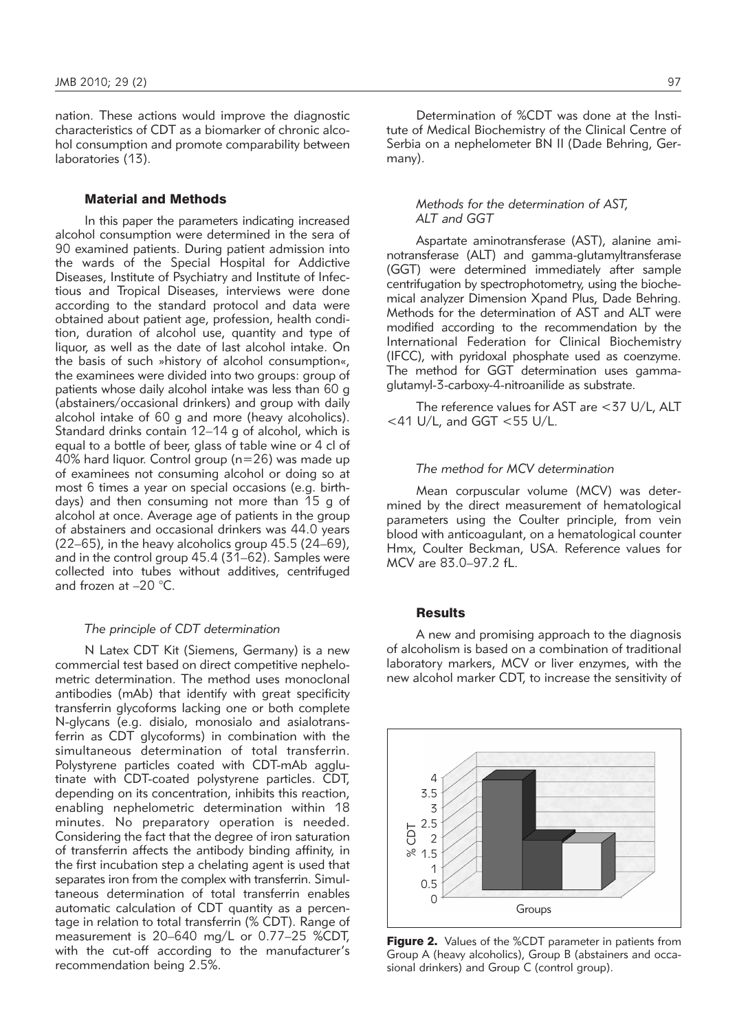nation. These actions would improve the diagnostic characteristics of CDT as a biomarker of chronic alcohol consumption and promote comparability between laboratories (13).

#### Material and Methods

In this paper the parameters indicating increased alcohol consumption were determined in the sera of 90 examined patients. During patient admission into the wards of the Special Hospital for Addictive Diseases, Institute of Psychiatry and Institute of Infec tious and Tropical Diseases, interviews were done according to the standard protocol and data were obtained about patient age, profession, health condition, duration of alcohol use, quantity and type of liquor, as well as the date of last alcohol intake. On the basis of such »history of alcohol consumption«, the examinees were divided into two groups: group of patients whose daily alcohol intake was less than 60 g (abstainers/occasional drinkers) and group with daily alcohol intake of 60 g and more (heavy alcoholics). Standard drinks contain 12–14 g of alcohol, which is equal to a bottle of beer, glass of table wine or 4 cl of 40% hard liquor. Control group (n=26) was made up of examinees not consuming alcohol or doing so at most 6 times a year on special occasions (e.g. birthdays) and then consuming not more than 15 g of alcohol at once. Average age of patients in the group of abstainers and occasional drinkers was 44.0 years (22–65), in the heavy alcoholics group 45.5 (24–69), and in the control group 45.4 (31–62). Samples were collected into tubes without additives, centrifuged and frozen at –20 °C.

#### *The principle of CDT determination*

N Latex CDT Kit (Siemens, Germany) is a new commercial test based on direct competitive nephelometric determination. The method uses monoclonal antibodies (mAb) that identify with great specificity transferrin glycoforms lacking one or both complete N-glycans (e.g. disialo, monosialo and asialotransferrin as CDT glycoforms) in combination with the simultaneous determination of total transferrin. Polystyrene particles coated with CDT-mAb agglutinate with CDT-coated polystyrene particles. CDT, depending on its concentration, inhibits this reaction, enabling nephelometric determination within 18 minutes. No preparatory operation is needed. Considering the fact that the degree of iron saturation of transferrin affects the antibody binding affinity, in the first incubation step a chelating agent is used that separates iron from the complex with transferrin. Simultaneous determination of total transferrin enables automatic calculation of CDT quantity as a percentage in relation to total transferrin (% CDT). Range of measurement is 20–640 mg/L or 0.77–25 %CDT, with the cut-off according to the manufacturer's recommendation being 2.5%.

Determination of %CDT was done at the Institute of Medical Biochemistry of the Clinical Centre of Serbia on a nephelometer BN II (Dade Behring, Germany).

#### *Methods for the determination of AST, ALT and GGT*

Aspartate aminotransferase (AST), alanine amino transferase (ALT) and gamma-glutamyltransferase (GGT) were determined immediately after sample centrifugation by spectrophotometry, using the biochemical analyzer Dimension Xpand Plus, Dade Behring. Methods for the determination of AST and ALT were modified according to the recommendation by the International Federation for Clinical Biochemistry (IFCC), with pyridoxal phosphate used as coenzyme. The method for GGT determination uses gammaglutamyl-3-carboxy-4-nitroanilide as substrate.

The reference values for AST are <37 U/L, ALT <41 U/L, and GGT <55 U/L.

#### *The method for MCV determination*

Mean corpuscular volume (MCV) was determined by the direct measurement of hematological parameters using the Coulter principle, from vein blood with anticoagulant, on a hematological counter Hmx, Coulter Beckman, USA. Reference values for MCV are 83.0–97.2 fL.

#### **Results**

A new and promising approach to the diagnosis of alcoholism is based on a combination of traditional laboratory markers, MCV or liver enzymes, with the new alcohol marker CDT, to increase the sensitivity of



**Figure 2.** Values of the %CDT parameter in patients from Group A (heavy alcoholics), Group B (abstainers and occa sional drinkers) and Group C (control group).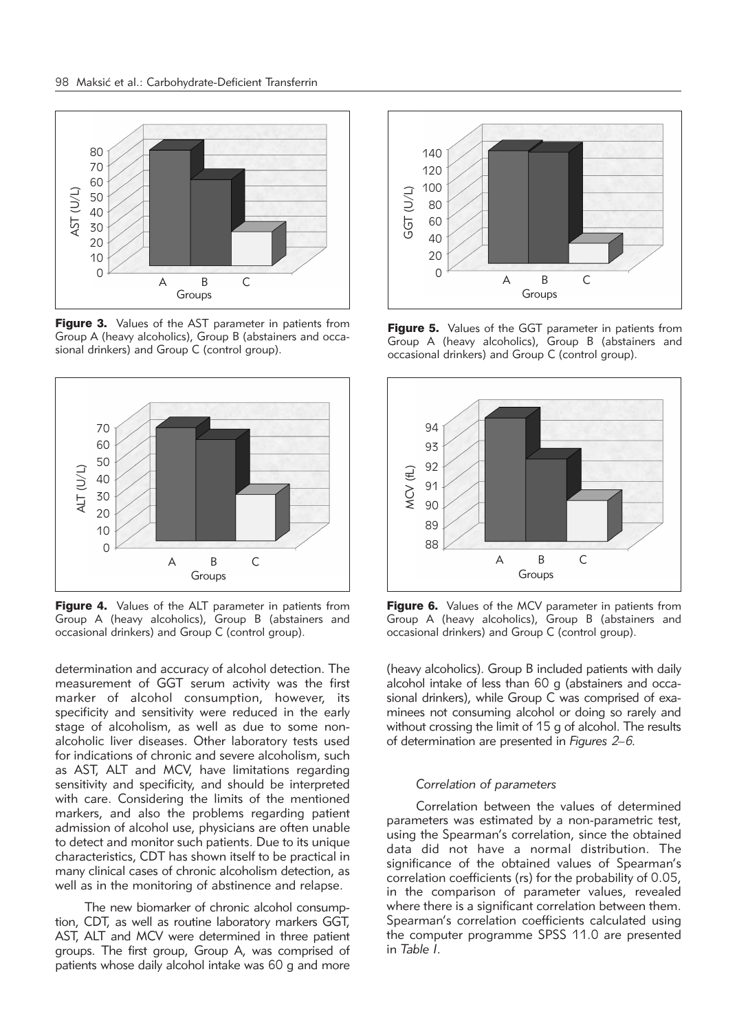

Figure 3. Values of the AST parameter in patients from Group A (heavy alcoholics), Group B (abstainers and occa sional drinkers) and Group C (control group).



Figure 4. Values of the ALT parameter in patients from Group A (heavy alcoholics), Group B (abstainers and occasional drinkers) and Group C (control group).

determination and accuracy of alcohol detection. The measurement of GGT serum activity was the first marker of alcohol consumption, however, its specificity and sensitivity were reduced in the early stage of alcoholism, as well as due to some nonalcoholic liver diseases. Other laboratory tests used for indications of chronic and severe alcoholism, such as AST, ALT and MCV, have limitations regarding sensitivity and specificity, and should be interpreted with care. Considering the limits of the mentioned markers, and also the problems regarding patient admission of alcohol use, physicians are often unable to detect and monitor such patients. Due to its unique characteristics, CDT has shown itself to be practical in many clinical cases of chronic alcoholism detection, as well as in the monitoring of abstinence and relapse.

The new biomarker of chronic alcohol consumption, CDT, as well as routine laboratory markers GGT, AST, ALT and MCV were determined in three patient groups. The first group, Group A, was comprised of patients whose daily alcohol intake was 60 g and more



Figure 5. Values of the GGT parameter in patients from Group A (heavy alcoholics), Group B (abstainers and occasional drinkers) and Group C (control group).



Figure 6. Values of the MCV parameter in patients from Group A (heavy alcoholics), Group B (abstainers and occasional drinkers) and Group C (control group).

(heavy alcoholics). Group B included patients with daily alcohol intake of less than 60 g (abstainers and occasional drinkers), while Group C was comprised of examinees not consuming alcohol or doing so rarely and without crossing the limit of 15 g of alcohol. The results of determination are presented in *Figures 2–6.*

### *Correlation of parameters*

Correlation between the values of determined parameters was estimated by a non-parametric test, using the Spearman's correlation, since the obtained data did not have a normal distribution. The significance of the obtained values of Spearman's correlation coefficients (rs) for the probability of 0.05, in the comparison of parameter values, revealed where there is a significant correlation between them. Spearman's correlation coefficients calculated using the computer programme SPSS 11.0 are presented in *Table I*.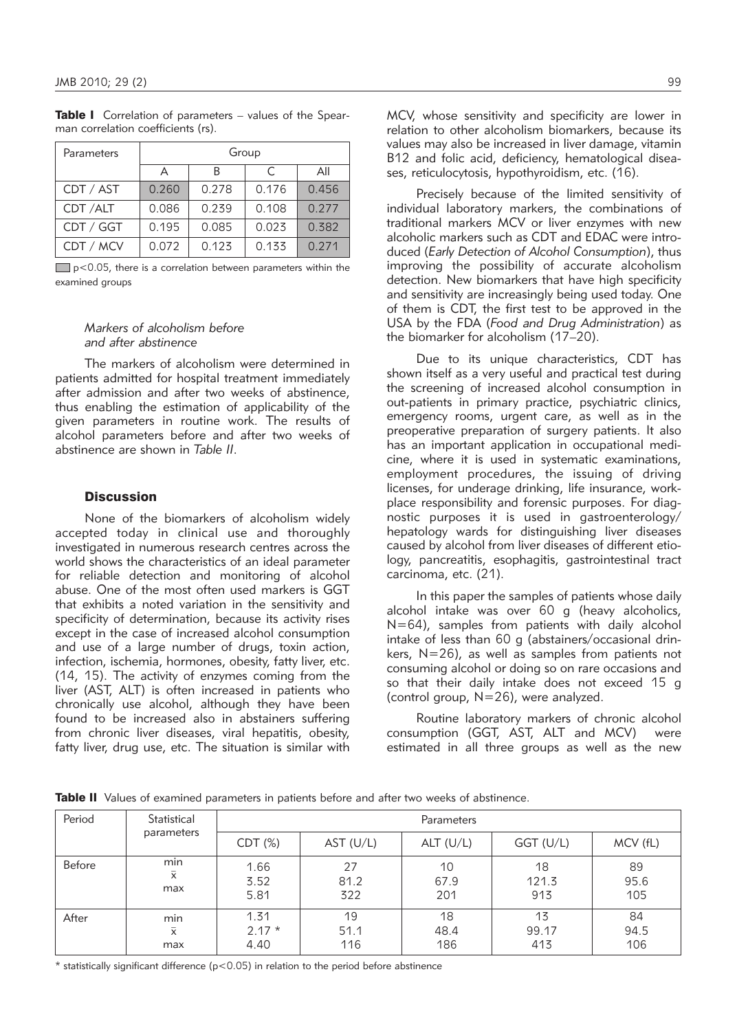Table I Correlation of parameters - values of the Spearman correlation coefficients (rs).

| Parameters | Group |       |           |       |  |  |  |
|------------|-------|-------|-----------|-------|--|--|--|
|            | А     | R     | $\subset$ | All   |  |  |  |
| CDT / AST  | 0.260 | 0.278 | 0.176     | 0.456 |  |  |  |
| CDT/ALT    | 0.086 | 0.239 | 0.108     | 0.277 |  |  |  |
| CDT / GGT  | 0.195 | 0.085 | 0.023     | 0.382 |  |  |  |
| CDT / MCV  | 0.072 | 0.123 | 0.133     | 0.271 |  |  |  |

 $\Box$  p<0.05, there is a correlation between parameters within the examined groups

#### *Markers of alcoholism before and after abstinence*

The markers of alcoholism were determined in patients admitted for hospital treatment immediately after admission and after two weeks of abstinence, thus enabling the estimation of applicability of the given parameters in routine work. The results of alcohol parameters before and after two weeks of abstinence are shown in *Table II*.

## **Discussion**

None of the biomarkers of alcoholism widely accepted today in clinical use and thoroughly investigated in numerous research centres across the world shows the characteristics of an ideal parameter for reliable detection and monitoring of alcohol abuse. One of the most often used markers is GGT that exhibits a noted variation in the sensitivity and specificity of determination, because its activity rises except in the case of increased alcohol consumption and use of a large number of drugs, toxin action, infection, ischemia, hormones, obesity, fatty liver, etc. (14, 15). The activity of enzymes coming from the liver (AST, ALT) is often increased in patients who chronically use alcohol, although they have been found to be increased also in abstainers suffering from chronic liver diseases, viral hepatitis, obesity, fatty liver, drug use, etc. The situation is similar with

MCV, whose sensitivity and specificity are lower in relation to other alcoholism biomarkers, because its values may also be increased in liver damage, vitamin B12 and folic acid, deficiency, hematological diseases, reticulocytosis, hypothyroidism, etc. (16).

Precisely because of the limited sensitivity of individual laboratory markers, the combinations of traditional markers MCV or liver enzymes with new alcoholic markers such as CDT and EDAC were introduced (*Early Detection of Alcohol Consumption*), thus improving the possibility of accurate alcoholism detection. New biomarkers that have high specificity and sensitivity are increasingly being used today. One of them is CDT, the first test to be approved in the USA by the FDA (*Food and Drug Administration*) as the biomarker for alcoholism (17–20).

Due to its unique characteristics, CDT has shown itself as a very useful and practical test during the screening of increased alcohol consumption in out-patients in primary practice, psychiatric clinics, emergency rooms, urgent care, as well as in the preoperative preparation of surgery patients. It also has an important application in occupational medicine, where it is used in systematic examinations, employment procedures, the issuing of driving licenses, for underage drinking, life insurance, work place responsibility and forensic purposes. For diagnostic purposes it is used in gastroenterology/ hepatology wards for distinguishing liver diseases caused by alcohol from liver diseases of different etio logy, pancreatitis, esophagitis, gastrointestinal tract carcinoma, etc. (21).

In this paper the samples of patients whose daily alcohol intake was over 60 g (heavy alcoholics, N=64), samples from patients with daily alcohol intake of less than 60 g (abstainers/occasional drinkers, N=26), as well as samples from patients not consuming alcohol or doing so on rare occasions and so that their daily intake does not exceed 15 g (control group, N=26), were analyzed.

Routine laboratory markers of chronic alcohol consumption (GGT, AST, ALT and MCV) were estimated in all three groups as well as the new

**Table II** Values of examined parameters in patients before and after two weeks of abstinence.

| Period<br>Statistical<br>parameters |                         | Parameters               |                   |                   |                    |                   |  |
|-------------------------------------|-------------------------|--------------------------|-------------------|-------------------|--------------------|-------------------|--|
|                                     |                         | $CDT$ (%)                | AST (U/L)         | ALT (U/L)         | GGT (U/L)          | MCV (fL)          |  |
| Before                              | min<br>$\bar{x}$<br>max | 1.66<br>3.52<br>5.81     | 27<br>81.2<br>322 | 10<br>67.9<br>201 | 18<br>121.3<br>913 | 89<br>95.6<br>105 |  |
| After                               | min<br>$\bar{x}$<br>max | 1.31<br>$2.17 *$<br>4.40 | 19<br>51.1<br>116 | 18<br>48.4<br>186 | 13<br>99.17<br>413 | 84<br>94.5<br>106 |  |

 $*$  statistically significant difference ( $p$ <0.05) in relation to the period before abstinence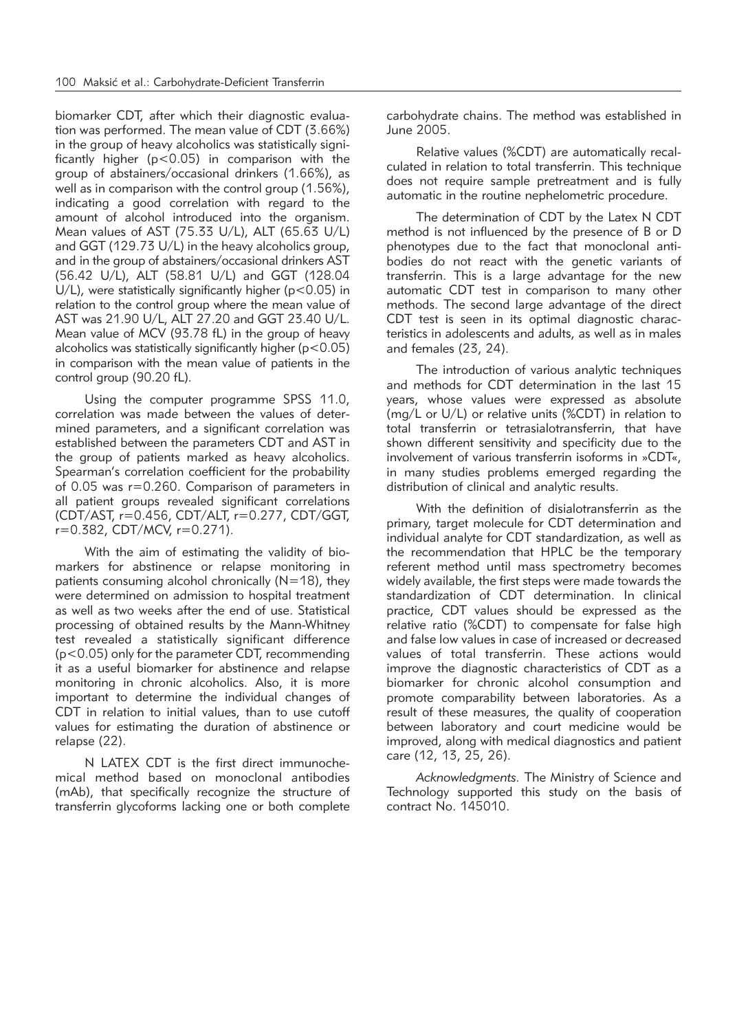biomarker CDT, after which their diagnostic evaluation was performed. The mean value of CDT (3.66%) in the group of heavy alcoholics was statistically significantly higher (p<0.05) in comparison with the group of abstainers/occasional drinkers (1.66%), as well as in comparison with the control group (1.56%), indicating a good correlation with regard to the amount of alcohol introduced into the organism. Mean values of AST (75.33 U/L), ALT (65.63 U/L) and GGT (129.73 U/L) in the heavy alcoholics group, and in the group of abstainers/occasional drinkers AST (56.42 U/L), ALT (58.81 U/L) and GGT (128.04  $U/L$ ), were statistically significantly higher ( $p < 0.05$ ) in relation to the control group where the mean value of AST was 21.90 U/L, ALT 27.20 and GGT 23.40 U/L. Mean value of MCV (93.78 fL) in the group of heavy alcoholics was statistically significantly higher ( $p < 0.05$ ) in comparison with the mean value of patients in the control group (90.20 fL).

Using the computer programme SPSS 11.0, correlation was made between the values of determined parameters, and a significant correlation was established between the parameters CDT and AST in the group of patients marked as heavy alcoholics. Spearman's correlation coefficient for the probability of 0.05 was r=0.260. Comparison of parameters in all patient groups revealed significant correlations (CDT/AST, r=0.456, CDT/ALT, r=0.277, CDT/GGT, r=0.382, CDT/MCV, r=0.271).

With the aim of estimating the validity of biomarkers for abstinence or relapse monitoring in patients consuming alcohol chronically  $(N=18)$ , they were determined on admission to hospital treatment as well as two weeks after the end of use. Statistical processing of obtained results by the Mann-Whitney test revealed a statistically significant difference (p<0.05) only for the parameter CDT, recommending it as a useful biomarker for abstinence and relapse monitoring in chronic alcoholics. Also, it is more important to determine the individual changes of CDT in relation to initial values, than to use cutoff values for estimating the duration of abstinence or relapse (22).

N LATEX CDT is the first direct immunochemical method based on monoclonal antibodies (mAb), that specifically recognize the structure of transferrin glycoforms lacking one or both complete carbohydrate chains. The method was established in June 2005.

Relative values (%CDT) are automatically recalculated in relation to total transferrin. This technique does not require sample pretreatment and is fully automatic in the routine nephelometric procedure.

The determination of CDT by the Latex N CDT method is not influenced by the presence of B or D phenotypes due to the fact that monoclonal antibodies do not react with the genetic variants of transferrin. This is a large advantage for the new automatic CDT test in comparison to many other methods. The second large advantage of the direct CDT test is seen in its optimal diagnostic characteristics in adolescents and adults, as well as in males and females (23, 24).

The introduction of various analytic techniques and methods for CDT determination in the last 15 years, whose values were expressed as absolute (mg/L or U/L) or relative units (%CDT) in relation to total transferrin or tetrasialotransferrin, that have shown different sensitivity and specificity due to the involvement of various transferrin isoforms in »CDT«, in many studies problems emerged regarding the distribution of clinical and analytic results.

With the definition of disialotransferrin as the primary, target molecule for CDT determination and individual analyte for CDT standardization, as well as the recommendation that HPLC be the temporary referent method until mass spectrometry becomes widely available, the first steps were made towards the standardization of CDT determination. In clinical practice, CDT values should be expressed as the relative ratio (%CDT) to compensate for false high and false low values in case of increased or decreased values of total transferrin. These actions would improve the diagnostic characteristics of CDT as a biomarker for chronic alcohol consumption and promote comparability between laboratories. As a result of these measures, the quality of cooperation between laboratory and court medicine would be improved, along with medical diagnostics and patient care (12, 13, 25, 26).

*Acknowledgments.* The Ministry of Science and Technology supported this study on the basis of contract No. 145010.